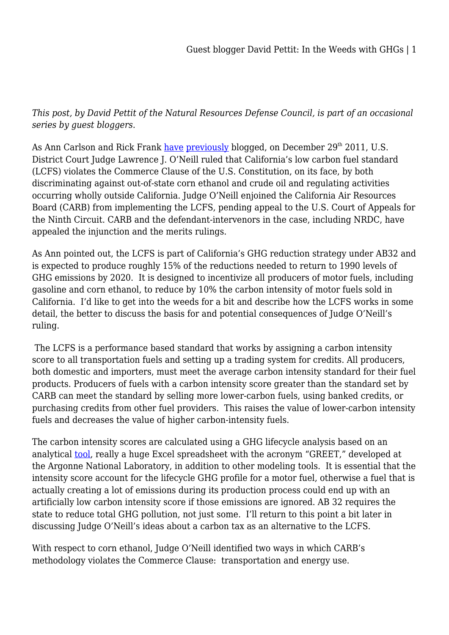*This post, by David Pettit of the Natural Resources Defense Council, is part of an occasional series by guest bloggers.*

As Ann Carlson and Rick Frank [have](http://legalplanet.wordpress.com/2012/01/06/commerce-clause-challenges-and-state-climate-policy/) [previously](http://legalplanet.wordpress.com/2011/12/29/federal-court-invalidates-californias-low-carbon-fuel-standard/) blogged, on December 29<sup>th</sup> 2011, U.S. District Court Judge Lawrence J. O'Neill ruled that California's low carbon fuel standard (LCFS) violates the Commerce Clause of the U.S. Constitution, on its face, by both discriminating against out-of-state corn ethanol and crude oil and regulating activities occurring wholly outside California. Judge O'Neill enjoined the California Air Resources Board (CARB) from implementing the LCFS, pending appeal to the U.S. Court of Appeals for the Ninth Circuit. CARB and the defendant-intervenors in the case, including NRDC, have appealed the injunction and the merits rulings.

As Ann pointed out, the LCFS is part of California's GHG reduction strategy under AB32 and is expected to produce roughly 15% of the reductions needed to return to 1990 levels of GHG emissions by 2020. It is designed to incentivize all producers of motor fuels, including gasoline and corn ethanol, to reduce by 10% the carbon intensity of motor fuels sold in California. I'd like to get into the weeds for a bit and describe how the LCFS works in some detail, the better to discuss the basis for and potential consequences of Judge O'Neill's ruling.

 The LCFS is a performance based standard that works by assigning a carbon intensity score to all transportation fuels and setting up a trading system for credits. All producers, both domestic and importers, must meet the average carbon intensity standard for their fuel products. Producers of fuels with a carbon intensity score greater than the standard set by CARB can meet the standard by selling more lower-carbon fuels, using banked credits, or purchasing credits from other fuel providers. This raises the value of lower-carbon intensity fuels and decreases the value of higher carbon-intensity fuels.

The carbon intensity scores are calculated using a GHG lifecycle analysis based on an analytical [tool,](http://greet.es.anl.gov/) really a huge Excel spreadsheet with the acronym "GREET," developed at the Argonne National Laboratory, in addition to other modeling tools. It is essential that the intensity score account for the lifecycle GHG profile for a motor fuel, otherwise a fuel that is actually creating a lot of emissions during its production process could end up with an artificially low carbon intensity score if those emissions are ignored. AB 32 requires the state to reduce total GHG pollution, not just some. I'll return to this point a bit later in discussing Judge O'Neill's ideas about a carbon tax as an alternative to the LCFS.

With respect to corn ethanol, Judge O'Neill identified two ways in which CARB's methodology violates the Commerce Clause: transportation and energy use.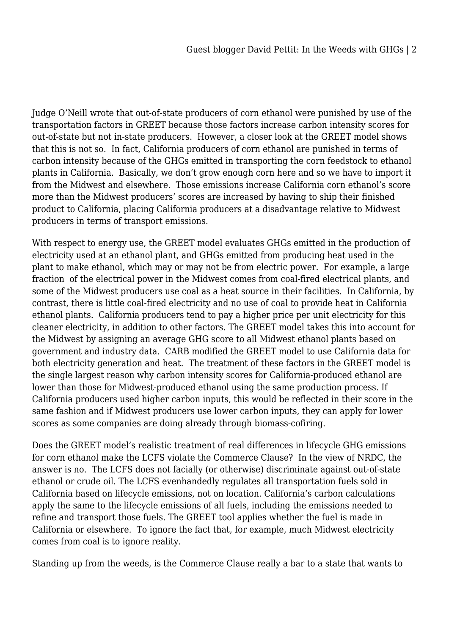Judge O'Neill wrote that out-of-state producers of corn ethanol were punished by use of the transportation factors in GREET because those factors increase carbon intensity scores for out-of-state but not in-state producers. However, a closer look at the GREET model shows that this is not so. In fact, California producers of corn ethanol are punished in terms of carbon intensity because of the GHGs emitted in transporting the corn feedstock to ethanol plants in California. Basically, we don't grow enough corn here and so we have to import it from the Midwest and elsewhere. Those emissions increase California corn ethanol's score more than the Midwest producers' scores are increased by having to ship their finished product to California, placing California producers at a disadvantage relative to Midwest producers in terms of transport emissions.

With respect to energy use, the GREET model evaluates GHGs emitted in the production of electricity used at an ethanol plant, and GHGs emitted from producing heat used in the plant to make ethanol, which may or may not be from electric power. For example, a large fraction of the electrical power in the Midwest comes from coal-fired electrical plants, and some of the Midwest producers use coal as a heat source in their facilities. In California, by contrast, there is little coal-fired electricity and no use of coal to provide heat in California ethanol plants. California producers tend to pay a higher price per unit electricity for this cleaner electricity, in addition to other factors. The GREET model takes this into account for the Midwest by assigning an average GHG score to all Midwest ethanol plants based on government and industry data. CARB modified the GREET model to use California data for both electricity generation and heat. The treatment of these factors in the GREET model is the single largest reason why carbon intensity scores for California-produced ethanol are lower than those for Midwest-produced ethanol using the same production process. If California producers used higher carbon inputs, this would be reflected in their score in the same fashion and if Midwest producers use lower carbon inputs, they can apply for lower scores as some companies are doing already through biomass-cofiring.

Does the GREET model's realistic treatment of real differences in lifecycle GHG emissions for corn ethanol make the LCFS violate the Commerce Clause? In the view of NRDC, the answer is no. The LCFS does not facially (or otherwise) discriminate against out-of-state ethanol or crude oil. The LCFS evenhandedly regulates all transportation fuels sold in California based on lifecycle emissions, not on location. California's carbon calculations apply the same to the lifecycle emissions of all fuels, including the emissions needed to refine and transport those fuels. The GREET tool applies whether the fuel is made in California or elsewhere. To ignore the fact that, for example, much Midwest electricity comes from coal is to ignore reality.

Standing up from the weeds, is the Commerce Clause really a bar to a state that wants to